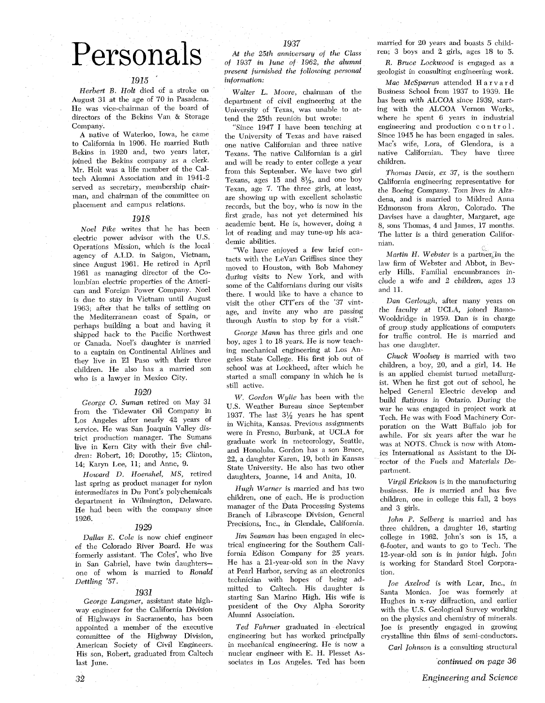## 1937

# Personals

## 1915 '

Herbert B. Holt died of a stroke on August 31 at the age of 70 in Pasadena. He was vice-chairman of the board of directors of the Bekins Van & Storage Company.

A native of Waterloo, Iowa, he came to California in 1906. He married Ruth Bekins in 1920 and, two years later, joined the Bekins company as a clerk. Mr. Holt was a life member of the Cdtech Alumni Association and in 1941-2 served as secretary, membership chairman, and chairman of the committee on placement and campus relations.

#### 1918

Noel Pike writes that he has been electric power advisor with the U.S. Operations Mission, which is the local agency of A.I.D. in Saigon, Vietnam, since August 1961. He retired in April 1961 as managing director of the Colombian electric properties of the American and Foreign Power Company. Noel is due to stay in Vietnam until August 1963; after that he talks of settling on the Mediterranean coast of Spain, or perhaps building a boat and having it shipped back to the Pacific Northwest or Canada. Noel's daughter is married to a captain on Continental Airlines and they live in El Paso with their three children. He also has a married son who is a lawyer in Mexico City.

### 1920

George 0. Suman retired on May 31 from the Tidewater Oil Company in Los Angeles after nearly 42 years of service. He was San Joaquin Valley district production manager. The Sumans live in Kern City with their five children: Robert, 16; Dorothy, IS; Clinton, 14; Karyn Lee, 11; and Anne, 9.

Howard D. Hoenshel, MS. retired last spring as product manager for nylon intermediates in Du Font's polychemicds department in Wilmington, Delaware. He had been with the company since 1926.

## 1929

Dallas E. Cole is now chief engineer of the Colorado River Board. He was formerly assistant. The Coles', who live in San Gabriel, have twin daughtersone of whom is married to Ronald Dettling '57.

## 1931

George Langsner, assistant state highway engineer for the California Division of Highways in Sacramento, has been Alumni Association. on the physics and chemistry of minerals. appointed a member of the executive Ted Fahrner graduated in electrical Joe is presently engaged in growing<br>committee of the Highway Division, engineering but has worked principally crystalline thin films of semi-conductor committee of the Highway Division, engineering but has worked principally crystalline thin films of semi-conductors.<br>American Society of Civil Engineers. in mechanical engineering. He is now a Carl Johnson is a consulting His son, Robert, graduated from Caltech last June. sociates in Los Angeles. Ted has been *continued on page 36* 

At the 25th anniversary of the Class of 1937 in June of 1962, the alumni present furnished the following personal information:

Walter *L.* Moore, chairman ot the department of civil engineering at the University of Texas, was unable to attend the 25th reunion but wrote:

"Since 1947 I have been teaching at the University of Texas and have raised one native Californian and three native Texans. The native Californian is a girl and will be ready to enter college a year from this September. We have two girl Texans, ages 15 and  $8\frac{1}{2}$ , and one boy Texan, age 7. The three girls, at least, are showing up with excellent scholastic records, but the boy, who is now in the first grade, has not yet determined his academic bent. He is, however, doing a lot of reading and may tune-up his academic abilities.

"We have enjoyed a few brief contacts with the LeVan Griffises since they moved to Houston, with Bob Mahoney during visits to New York, and with some of the Californians during our visits there. I would like to have a chance to visit the other CIT'ers of the '37 vintage, and invite any who are passing through Austin to stop by for a visit.'

George Mann has three girls and one boy, ages 1 to 18 years. He is now teaching mechanical engineering at Los Angeles State College. His first job out of school was at Lockheed, after which he started a small company in which he is still active.

W. Gordon Wylie has been with the US. Weather Bureau since September 1937. The last **3%** years he has spent in Wichita, Kansas. Previous assignments were in Fresno, Burbank, at UCLA tor graduate work in meteorology, Seattle, and Honolulu. Gordon has a son Bruce, 22, a daughter Karen, 19, both in Kansas State University. He also has two other daughters, Joanne, 14 and Anita, 10.

Hugh Warner is married and has two children, one of each. He is production manager of the Data Processing Systems Branch of Librascope Division, General Precisions, Inc., in Glendale, California.

Jim Seaman has been engaged in electrical engineering for the Southern California Edison Company tor 25 years. He has a 21-year-old son in the Navy at Pearl Harbor, serving as an electronics technician with hopes of being admitted to Caltech. His daughter is starting San Marino High. His wife is president of the Oxy Alpha Sorority Alumni Association.

in mechanical engineering. He is now a carl Johnson is a consulting structural nuclear engineer with E. H. Plesset As-

married for 20 years and boasts *5* children; 3 boys and 2 girls, ages 18 to 5.

R. Bruce Lockwood is engaged as a geologist in consulting engineering work.

Mac McSparran attended H a r v a r d Business School from 1937 to 1939. He has been with ALCOA since 1939, starting with the ALCOA Vernon Works, where he spent 6 years in industrial engineering and production control. Since 1945 he has been engaged in sales. Mac's wife, Lora, of Glendora, is a native Californian. They have three children.

Thomas Davis, ex 37, is the southern California engineering representative tor the Boeing Company. Tom lives in Altadena, and is married to Mildred Anna Edmonson from Akron, Colorado. The Davises have a daughter, Margaret, age 8, sons Thomas, 4 and James, 17 months. The latter is a third generation Calitornian.

Martin  $H$ . Webster is a partner in the law firm of Webster and Abbot, in Beverly Hills. Familial encumbrances include a wife and 2 children, ages 13 and 11.

Dan Gerlough, after many years on the faculty at UCLA, joined Ramo-Wooldridge in 1959. Dan is in charge of group study applications of computers for traffic control. He is married and has one daughter.

Chuck Woolsey is married with two children, a boy, 20, and a girl, 14. He is an applied chemist turned metallurgist. When he first got out of school, he helped General Electric develop and build flatirons in Ontario. During the war he was engaged in project work at Tech. He was with Food Machinery Corporation on the Watt Buffalo job tor awhile. For six years after the war he was at NOTS. Chuck is now with Atomics International as Assistant to the Director of the Fuels and Materials Department.

Virgil Erickson is in the manufacturing business. He is married and has five children, one in college this fall, 2 boys and **3** girls.

John P. Selberg is married and has three children, a daughter 16, starting college in 1962. John's son is 15, a 6-footer, and wants to go to Tech. The 12-year-old son is in junior high. John is working for Standard Steel Corporation.

Joe Axelrod is with Lear, Inc., in Santa Monica. Joe was formerly at Hughes in x-ray diffraction, and earlier with the U.S. Geological Survey working